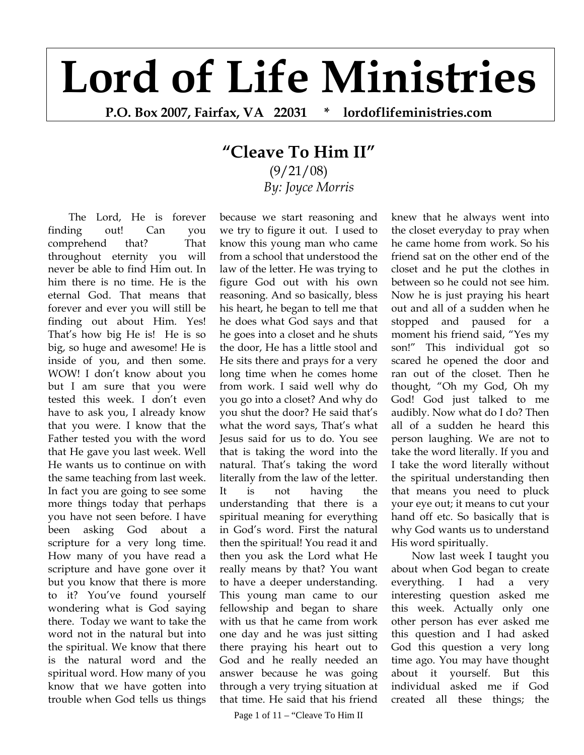## **Lord of Life Ministries**

**P.O. Box 2007, Fairfax, VA 22031 \* lordoflifeministries.com** 

## **"Cleave To Him II"**

(9/21/08) *By: Joyce Morris*

The Lord, He is forever finding out! Can you comprehend that? That throughout eternity you will never be able to find Him out. In him there is no time. He is the eternal God. That means that forever and ever you will still be finding out about Him. Yes! That's how big He is! He is so big, so huge and awesome! He is inside of you, and then some. WOW! I don't know about you but I am sure that you were tested this week. I don't even have to ask you, I already know that you were. I know that the Father tested you with the word that He gave you last week. Well He wants us to continue on with the same teaching from last week. In fact you are going to see some more things today that perhaps you have not seen before. I have been asking God about a scripture for a very long time. How many of you have read a scripture and have gone over it but you know that there is more to it? You've found yourself wondering what is God saying there. Today we want to take the word not in the natural but into the spiritual. We know that there is the natural word and the spiritual word. How many of you know that we have gotten into trouble when God tells us things

because we start reasoning and we try to figure it out. I used to know this young man who came from a school that understood the law of the letter. He was trying to figure God out with his own reasoning. And so basically, bless his heart, he began to tell me that he does what God says and that he goes into a closet and he shuts the door, He has a little stool and He sits there and prays for a very long time when he comes home from work. I said well why do you go into a closet? And why do you shut the door? He said that's what the word says, That's what Jesus said for us to do. You see that is taking the word into the natural. That's taking the word literally from the law of the letter. It is not having the understanding that there is a spiritual meaning for everything in God's word. First the natural then the spiritual! You read it and then you ask the Lord what He really means by that? You want to have a deeper understanding. This young man came to our fellowship and began to share with us that he came from work one day and he was just sitting there praying his heart out to God and he really needed an answer because he was going through a very trying situation at that time. He said that his friend

knew that he always went into the closet everyday to pray when he came home from work. So his friend sat on the other end of the closet and he put the clothes in between so he could not see him. Now he is just praying his heart out and all of a sudden when he stopped and paused for a moment his friend said, "Yes my son!" This individual got so scared he opened the door and ran out of the closet. Then he thought, "Oh my God, Oh my God! God just talked to me audibly. Now what do I do? Then all of a sudden he heard this person laughing. We are not to take the word literally. If you and I take the word literally without the spiritual understanding then that means you need to pluck your eye out; it means to cut your hand off etc. So basically that is why God wants us to understand His word spiritually.

Now last week I taught you about when God began to create everything. I had a very interesting question asked me this week. Actually only one other person has ever asked me this question and I had asked God this question a very long time ago. You may have thought about it yourself. But this individual asked me if God created all these things; the

Page 1 of 11 – "Cleave To Him II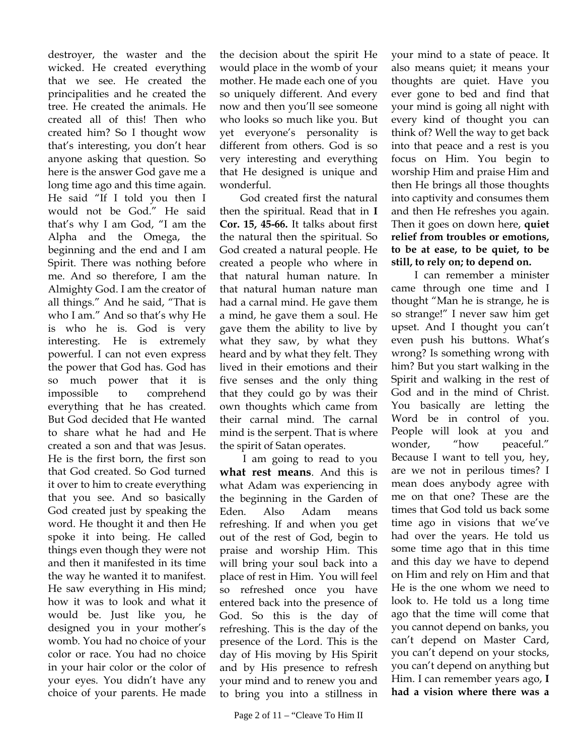destroyer, the waster and the wicked. He created everything that we see. He created the principalities and he created the tree. He created the animals. He created all of this! Then who created him? So I thought wow that's interesting, you don't hear anyone asking that question. So here is the answer God gave me a long time ago and this time again. He said "If I told you then I would not be God." He said that's why I am God, "I am the Alpha and the Omega, the beginning and the end and I am Spirit. There was nothing before me. And so therefore, I am the Almighty God. I am the creator of all things." And he said, "That is who I am." And so that's why He is who he is. God is very interesting. He is extremely powerful. I can not even express the power that God has. God has so much power that it is impossible to comprehend everything that he has created. But God decided that He wanted to share what he had and He created a son and that was Jesus. He is the first born, the first son that God created. So God turned it over to him to create everything that you see. And so basically God created just by speaking the word. He thought it and then He spoke it into being. He called things even though they were not and then it manifested in its time the way he wanted it to manifest. He saw everything in His mind; how it was to look and what it would be. Just like you, he designed you in your mother's womb. You had no choice of your color or race. You had no choice in your hair color or the color of your eyes. You didn't have any choice of your parents. He made

the decision about the spirit He would place in the womb of your mother. He made each one of you so uniquely different. And every now and then you'll see someone who looks so much like you. But yet everyone's personality is different from others. God is so very interesting and everything that He designed is unique and wonderful.

God created first the natural then the spiritual. Read that in **I Cor. 15, 45-66.** It talks about first the natural then the spiritual. So God created a natural people. He created a people who where in that natural human nature. In that natural human nature man had a carnal mind. He gave them a mind, he gave them a soul. He gave them the ability to live by what they saw, by what they heard and by what they felt. They lived in their emotions and their five senses and the only thing that they could go by was their own thoughts which came from their carnal mind. The carnal mind is the serpent. That is where the spirit of Satan operates.

 I am going to read to you **what rest means**. And this is what Adam was experiencing in the beginning in the Garden of Eden. Also Adam means refreshing. If and when you get out of the rest of God, begin to praise and worship Him. This will bring your soul back into a place of rest in Him. You will feel so refreshed once you have entered back into the presence of God. So this is the day of refreshing. This is the day of the presence of the Lord. This is the day of His moving by His Spirit and by His presence to refresh your mind and to renew you and to bring you into a stillness in also means quiet; it means your thoughts are quiet. Have you ever gone to bed and find that your mind is going all night with every kind of thought you can think of? Well the way to get back into that peace and a rest is you focus on Him. You begin to worship Him and praise Him and then He brings all those thoughts into captivity and consumes them and then He refreshes you again. Then it goes on down here, **quiet relief from troubles or emotions, to be at ease, to be quiet, to be still, to rely on; to depend on.** 

your mind to a state of peace. It

 I can remember a minister came through one time and I thought "Man he is strange, he is so strange!" I never saw him get upset. And I thought you can't even push his buttons. What's wrong? Is something wrong with him? But you start walking in the Spirit and walking in the rest of God and in the mind of Christ. You basically are letting the Word be in control of you. People will look at you and wonder, "how peaceful." Because I want to tell you, hey, are we not in perilous times? I mean does anybody agree with me on that one? These are the times that God told us back some time ago in visions that we've had over the years. He told us some time ago that in this time and this day we have to depend on Him and rely on Him and that He is the one whom we need to look to. He told us a long time ago that the time will come that you cannot depend on banks, you can't depend on Master Card, you can't depend on your stocks, you can't depend on anything but Him. I can remember years ago, **I had a vision where there was a**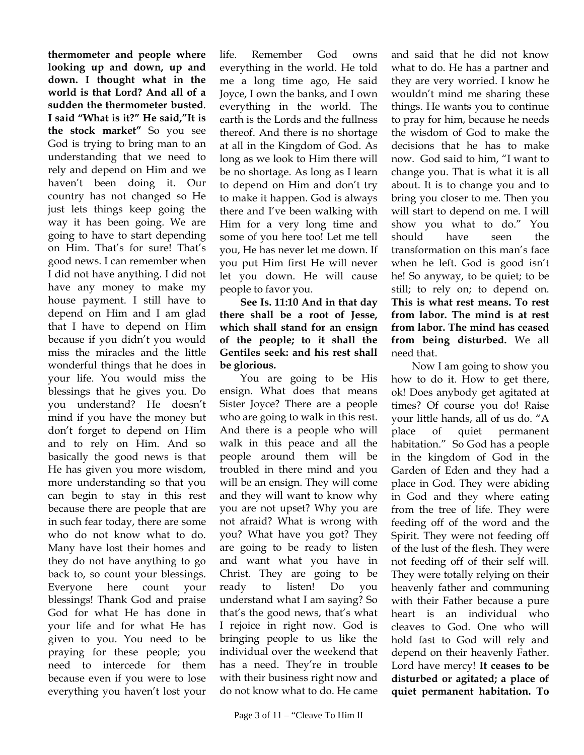**thermometer and people where looking up and down, up and down. I thought what in the world is that Lord? And all of a sudden the thermometer busted**. **I said "What is it?" He said,"It is the stock market"** So you see God is trying to bring man to an understanding that we need to rely and depend on Him and we haven't been doing it. Our country has not changed so He just lets things keep going the way it has been going. We are going to have to start depending on Him. That's for sure! That's good news. I can remember when I did not have anything. I did not have any money to make my house payment. I still have to depend on Him and I am glad that I have to depend on Him because if you didn't you would miss the miracles and the little wonderful things that he does in your life. You would miss the blessings that he gives you. Do you understand? He doesn't mind if you have the money but don't forget to depend on Him and to rely on Him. And so basically the good news is that He has given you more wisdom, more understanding so that you can begin to stay in this rest because there are people that are in such fear today, there are some who do not know what to do. Many have lost their homes and they do not have anything to go back to, so count your blessings. Everyone here count your blessings! Thank God and praise God for what He has done in your life and for what He has given to you. You need to be praying for these people; you need to intercede for them because even if you were to lose everything you haven't lost your

life. Remember God owns everything in the world. He told me a long time ago, He said Joyce, I own the banks, and I own everything in the world. The earth is the Lords and the fullness thereof. And there is no shortage at all in the Kingdom of God. As long as we look to Him there will be no shortage. As long as I learn to depend on Him and don't try to make it happen. God is always there and I've been walking with Him for a very long time and some of you here too! Let me tell you, He has never let me down. If you put Him first He will never let you down. He will cause people to favor you.

**See Is. 11:10 And in that day there shall be a root of Jesse, which shall stand for an ensign of the people; to it shall the Gentiles seek: and his rest shall be glorious.** 

You are going to be His ensign. What does that means Sister Joyce? There are a people who are going to walk in this rest. And there is a people who will walk in this peace and all the people around them will be troubled in there mind and you will be an ensign. They will come and they will want to know why you are not upset? Why you are not afraid? What is wrong with you? What have you got? They are going to be ready to listen and want what you have in Christ. They are going to be ready to listen! Do you understand what I am saying? So that's the good news, that's what I rejoice in right now. God is bringing people to us like the individual over the weekend that has a need. They're in trouble with their business right now and do not know what to do. He came

and said that he did not know what to do. He has a partner and they are very worried. I know he wouldn't mind me sharing these things. He wants you to continue to pray for him, because he needs the wisdom of God to make the decisions that he has to make now. God said to him, "I want to change you. That is what it is all about. It is to change you and to bring you closer to me. Then you will start to depend on me. I will show you what to do." You should have seen the transformation on this man's face when he left. God is good isn't he! So anyway, to be quiet; to be still; to rely on; to depend on. **This is what rest means. To rest from labor. The mind is at rest from labor. The mind has ceased from being disturbed.** We all need that.

Now I am going to show you how to do it. How to get there, ok! Does anybody get agitated at times? Of course you do! Raise your little hands, all of us do. "A place of quiet permanent habitation." So God has a people in the kingdom of God in the Garden of Eden and they had a place in God. They were abiding in God and they where eating from the tree of life. They were feeding off of the word and the Spirit. They were not feeding off of the lust of the flesh. They were not feeding off of their self will. They were totally relying on their heavenly father and communing with their Father because a pure heart is an individual who cleaves to God. One who will hold fast to God will rely and depend on their heavenly Father. Lord have mercy! **It ceases to be disturbed or agitated; a place of quiet permanent habitation. To**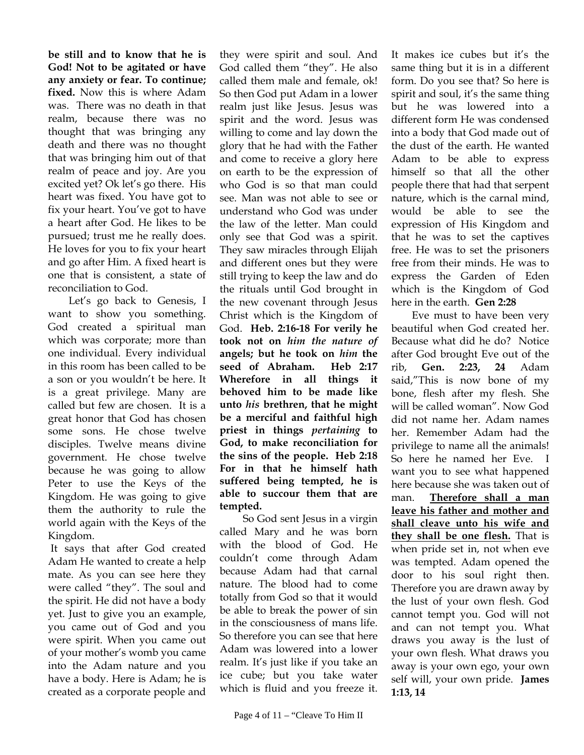**be still and to know that he is God! Not to be agitated or have any anxiety or fear. To continue; fixed.** Now this is where Adam was. There was no death in that realm, because there was no thought that was bringing any death and there was no thought that was bringing him out of that realm of peace and joy. Are you excited yet? Ok let's go there. His heart was fixed. You have got to fix your heart. You've got to have a heart after God. He likes to be pursued; trust me he really does. He loves for you to fix your heart and go after Him. A fixed heart is one that is consistent, a state of reconciliation to God.

Let's go back to Genesis, I want to show you something. God created a spiritual man which was corporate; more than one individual. Every individual in this room has been called to be a son or you wouldn't be here. It is a great privilege. Many are called but few are chosen. It is a great honor that God has chosen some sons. He chose twelve disciples. Twelve means divine government. He chose twelve because he was going to allow Peter to use the Keys of the Kingdom. He was going to give them the authority to rule the world again with the Keys of the Kingdom.

 It says that after God created Adam He wanted to create a help mate. As you can see here they were called "they". The soul and the spirit. He did not have a body yet. Just to give you an example, you came out of God and you were spirit. When you came out of your mother's womb you came into the Adam nature and you have a body. Here is Adam; he is created as a corporate people and

they were spirit and soul. And God called them "they". He also called them male and female, ok! So then God put Adam in a lower realm just like Jesus. Jesus was spirit and the word. Jesus was willing to come and lay down the glory that he had with the Father and come to receive a glory here on earth to be the expression of who God is so that man could see. Man was not able to see or understand who God was under the law of the letter. Man could only see that God was a spirit. They saw miracles through Elijah and different ones but they were still trying to keep the law and do the rituals until God brought in the new covenant through Jesus Christ which is the Kingdom of God. **Heb. 2:16-18 For verily he took not on** *him the nature of* **angels; but he took on** *him* **the seed of Abraham. Heb 2:17 Wherefore in all things it behoved him to be made like unto** *his* **brethren, that he might be a merciful and faithful high priest in things** *pertaining* **to God, to make reconciliation for the sins of the people. Heb 2:18 For in that he himself hath suffered being tempted, he is able to succour them that are tempted.**

 So God sent Jesus in a virgin called Mary and he was born with the blood of God. He couldn't come through Adam because Adam had that carnal nature. The blood had to come totally from God so that it would be able to break the power of sin in the consciousness of mans life. So therefore you can see that here Adam was lowered into a lower realm. It's just like if you take an ice cube; but you take water which is fluid and you freeze it.

It makes ice cubes but it's the same thing but it is in a different form. Do you see that? So here is spirit and soul, it's the same thing but he was lowered into a different form He was condensed into a body that God made out of the dust of the earth. He wanted Adam to be able to express himself so that all the other people there that had that serpent nature, which is the carnal mind, would be able to see the expression of His Kingdom and that he was to set the captives free. He was to set the prisoners free from their minds. He was to express the Garden of Eden which is the Kingdom of God here in the earth. **Gen 2:28** 

Eve must to have been very beautiful when God created her. Because what did he do? Notice after God brought Eve out of the rib, **Gen. 2:23, 24** Adam said,"This is now bone of my bone, flesh after my flesh. She will be called woman". Now God did not name her. Adam names her. Remember Adam had the privilege to name all the animals! So here he named her Eve. I want you to see what happened here because she was taken out of man. **Therefore shall a man leave his father and mother and shall cleave unto his wife and they shall be one flesh.** That is when pride set in, not when eve was tempted. Adam opened the door to his soul right then. Therefore you are drawn away by the lust of your own flesh. God cannot tempt you. God will not and can not tempt you. What draws you away is the lust of your own flesh. What draws you away is your own ego, your own self will, your own pride. **James 1:13, 14**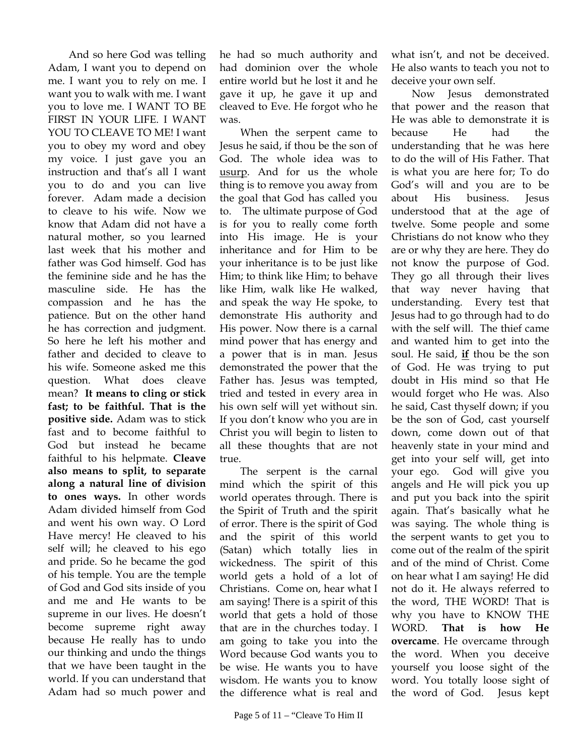And so here God was telling Adam, I want you to depend on me. I want you to rely on me. I want you to walk with me. I want you to love me. I WANT TO BE FIRST IN YOUR LIFE. I WANT YOU TO CLEAVE TO ME! I want you to obey my word and obey my voice. I just gave you an instruction and that's all I want you to do and you can live forever. Adam made a decision to cleave to his wife. Now we know that Adam did not have a natural mother, so you learned last week that his mother and father was God himself. God has the feminine side and he has the masculine side. He has the compassion and he has the patience. But on the other hand he has correction and judgment. So here he left his mother and father and decided to cleave to his wife. Someone asked me this question. What does cleave mean? **It means to cling or stick fast; to be faithful. That is the positive side.** Adam was to stick fast and to become faithful to God but instead he became faithful to his helpmate. **Cleave also means to split, to separate along a natural line of division to ones ways.** In other words Adam divided himself from God and went his own way. O Lord Have mercy! He cleaved to his self will; he cleaved to his ego and pride. So he became the god of his temple. You are the temple of God and God sits inside of you and me and He wants to be supreme in our lives. He doesn't become supreme right away because He really has to undo our thinking and undo the things that we have been taught in the world. If you can understand that Adam had so much power and

he had so much authority and had dominion over the whole entire world but he lost it and he gave it up, he gave it up and cleaved to Eve. He forgot who he was.

When the serpent came to Jesus he said, if thou be the son of God. The whole idea was to usurp. And for us the whole thing is to remove you away from the goal that God has called you to. The ultimate purpose of God is for you to really come forth into His image. He is your inheritance and for Him to be your inheritance is to be just like Him; to think like Him; to behave like Him, walk like He walked, and speak the way He spoke, to demonstrate His authority and His power. Now there is a carnal mind power that has energy and a power that is in man. Jesus demonstrated the power that the Father has. Jesus was tempted, tried and tested in every area in his own self will yet without sin. If you don't know who you are in Christ you will begin to listen to all these thoughts that are not true.

The serpent is the carnal mind which the spirit of this world operates through. There is the Spirit of Truth and the spirit of error. There is the spirit of God and the spirit of this world (Satan) which totally lies in wickedness. The spirit of this world gets a hold of a lot of Christians. Come on, hear what I am saying! There is a spirit of this world that gets a hold of those that are in the churches today. I am going to take you into the Word because God wants you to be wise. He wants you to have wisdom. He wants you to know the difference what is real and

what isn't, and not be deceived. He also wants to teach you not to deceive your own self.

Now Jesus demonstrated that power and the reason that He was able to demonstrate it is because He had the understanding that he was here to do the will of His Father. That is what you are here for; To do God's will and you are to be about His business. Jesus understood that at the age of twelve. Some people and some Christians do not know who they are or why they are here. They do not know the purpose of God. They go all through their lives that way never having that understanding. Every test that Jesus had to go through had to do with the self will. The thief came and wanted him to get into the soul. He said, **if** thou be the son of God. He was trying to put doubt in His mind so that He would forget who He was. Also he said, Cast thyself down; if you be the son of God, cast yourself down, come down out of that heavenly state in your mind and get into your self will, get into your ego. God will give you angels and He will pick you up and put you back into the spirit again. That's basically what he was saying. The whole thing is the serpent wants to get you to come out of the realm of the spirit and of the mind of Christ. Come on hear what I am saying! He did not do it. He always referred to the word, THE WORD! That is why you have to KNOW THE WORD. **That is how He overcame**. He overcame through the word. When you deceive yourself you loose sight of the word. You totally loose sight of the word of God. Jesus kept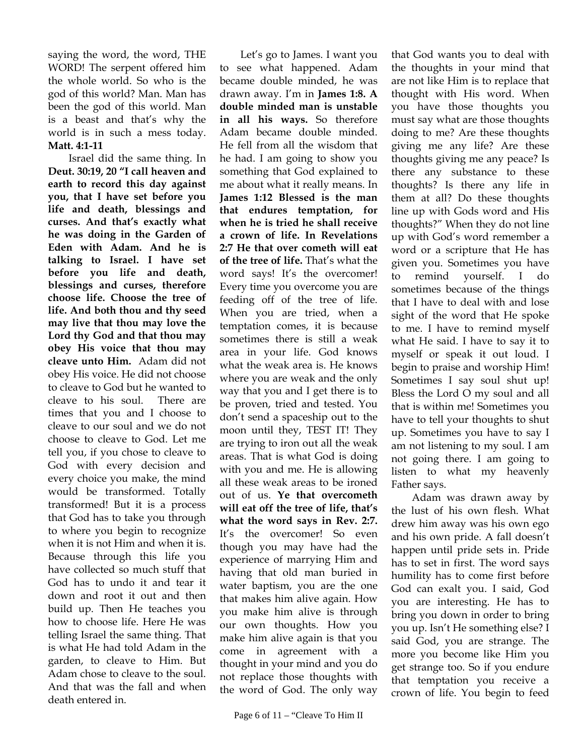saying the word, the word, THE WORD! The serpent offered him the whole world. So who is the god of this world? Man. Man has been the god of this world. Man is a beast and that's why the world is in such a mess today. **Matt. 4:1-11** 

Israel did the same thing. In **Deut. 30:19, 20 "I call heaven and earth to record this day against you, that I have set before you life and death, blessings and curses. And that's exactly what he was doing in the Garden of Eden with Adam. And he is talking to Israel. I have set before you life and death, blessings and curses, therefore choose life. Choose the tree of life. And both thou and thy seed may live that thou may love the Lord thy God and that thou may obey His voice that thou may cleave unto Him.** Adam did not obey His voice. He did not choose to cleave to God but he wanted to cleave to his soul. There are times that you and I choose to cleave to our soul and we do not choose to cleave to God. Let me tell you, if you chose to cleave to God with every decision and every choice you make, the mind would be transformed. Totally transformed! But it is a process that God has to take you through to where you begin to recognize when it is not Him and when it is. Because through this life you have collected so much stuff that God has to undo it and tear it down and root it out and then build up. Then He teaches you how to choose life. Here He was telling Israel the same thing. That is what He had told Adam in the garden, to cleave to Him. But Adam chose to cleave to the soul. And that was the fall and when death entered in.

Let's go to James. I want you to see what happened. Adam became double minded, he was drawn away. I'm in **James 1:8. A double minded man is unstable in all his ways.** So therefore Adam became double minded. He fell from all the wisdom that he had. I am going to show you something that God explained to me about what it really means. In **James 1:12 Blessed is the man that endures temptation, for when he is tried he shall receive a crown of life. In Revelations 2:7 He that over cometh will eat of the tree of life.** That's what the word says! It's the overcomer! Every time you overcome you are feeding off of the tree of life. When you are tried, when a temptation comes, it is because sometimes there is still a weak area in your life. God knows what the weak area is. He knows where you are weak and the only way that you and I get there is to be proven, tried and tested. You don't send a spaceship out to the moon until they, TEST IT! They are trying to iron out all the weak areas. That is what God is doing with you and me. He is allowing all these weak areas to be ironed out of us. **Ye that overcometh will eat off the tree of life, that's what the word says in Rev. 2:7.** It's the overcomer! So even though you may have had the experience of marrying Him and having that old man buried in water baptism, you are the one that makes him alive again. How you make him alive is through our own thoughts. How you make him alive again is that you come in agreement with a thought in your mind and you do not replace those thoughts with the word of God. The only way

that God wants you to deal with the thoughts in your mind that are not like Him is to replace that thought with His word. When you have those thoughts you must say what are those thoughts doing to me? Are these thoughts giving me any life? Are these thoughts giving me any peace? Is there any substance to these thoughts? Is there any life in them at all? Do these thoughts line up with Gods word and His thoughts?" When they do not line up with God's word remember a word or a scripture that He has given you. Sometimes you have to remind yourself. I do sometimes because of the things that I have to deal with and lose sight of the word that He spoke to me. I have to remind myself what He said. I have to say it to myself or speak it out loud. I begin to praise and worship Him! Sometimes I say soul shut up! Bless the Lord O my soul and all that is within me! Sometimes you have to tell your thoughts to shut up. Sometimes you have to say I am not listening to my soul. I am not going there. I am going to listen to what my heavenly Father says.

Adam was drawn away by the lust of his own flesh. What drew him away was his own ego and his own pride. A fall doesn't happen until pride sets in. Pride has to set in first. The word says humility has to come first before God can exalt you. I said, God you are interesting. He has to bring you down in order to bring you up. Isn't He something else? I said God, you are strange. The more you become like Him you get strange too. So if you endure that temptation you receive a crown of life. You begin to feed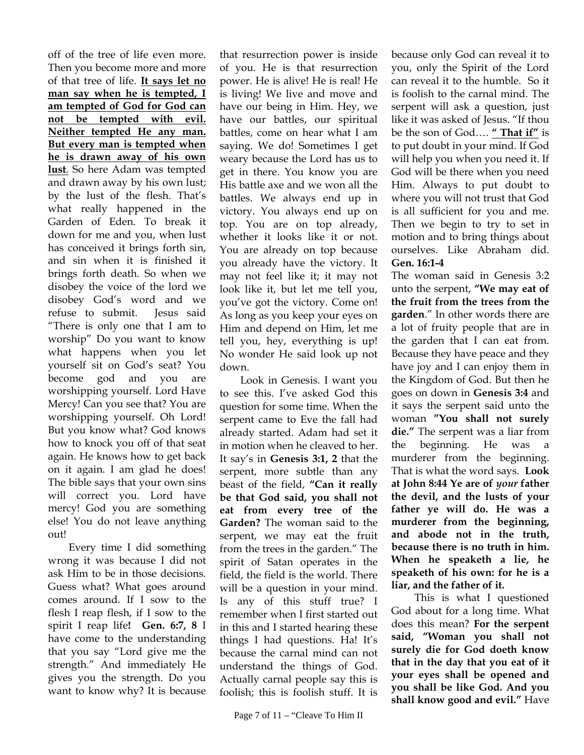off of the tree of life even more. Then you become more and more of that tree of life. **It says let no man say when he is tempted, I am tempted of God for God can not be tempted with evil. Neither tempted He any man. But every man is tempted when he is drawn away of his own lust**. So here Adam was tempted and drawn away by his own lust; by the lust of the flesh. That's what really happened in the Garden of Eden. To break it down for me and you, when lust has conceived it brings forth sin, and sin when it is finished it brings forth death. So when we disobey the voice of the lord we disobey God's word and we refuse to submit. Jesus said "There is only one that I am to worship" Do you want to know what happens when you let yourself sit on God's seat? You become god and you are worshipping yourself. Lord Have Mercy! Can you see that? You are worshipping yourself. Oh Lord! But you know what? God knows how to knock you off of that seat again. He knows how to get back on it again. I am glad he does! The bible says that your own sins will correct you. Lord have mercy! God you are something else! You do not leave anything out!

Every time I did something wrong it was because I did not ask Him to be in those decisions. Guess what? What goes around comes around. If I sow to the flesh I reap flesh, if I sow to the spirit I reap life**! Gen. 6:7, 8** I have come to the understanding that you say "Lord give me the strength." And immediately He gives you the strength. Do you want to know why? It is because

that resurrection power is inside of you. He is that resurrection power. He is alive! He is real! He is living! We live and move and have our being in Him. Hey, we have our battles, our spiritual battles, come on hear what I am saying. We do! Sometimes I get weary because the Lord has us to get in there. You know you are His battle axe and we won all the battles. We always end up in victory. You always end up on top. You are on top already, whether it looks like it or not. You are already on top because you already have the victory. It may not feel like it; it may not look like it, but let me tell you, you've got the victory. Come on! As long as you keep your eyes on Him and depend on Him, let me tell you, hey, everything is up! No wonder He said look up not down.

Look in Genesis. I want you to see this. I've asked God this question for some time. When the serpent came to Eve the fall had already started. Adam had set it in motion when he cleaved to her. It say's in **Genesis 3:1, 2** that the serpent, more subtle than any beast of the field, **"Can it really be that God said, you shall not eat from every tree of the Garden?** The woman said to the serpent, we may eat the fruit from the trees in the garden." The spirit of Satan operates in the field, the field is the world. There will be a question in your mind. Is any of this stuff true? I remember when I first started out in this and I started hearing these things I had questions. Ha! It's because the carnal mind can not understand the things of God. Actually carnal people say this is foolish; this is foolish stuff. It is

because only God can reveal it to you, only the Spirit of the Lord can reveal it to the humble. So it is foolish to the carnal mind. The serpent will ask a question, just like it was asked of Jesus. "If thou be the son of God…. **" That if"** is to put doubt in your mind. If God will help you when you need it. If God will be there when you need Him. Always to put doubt to where you will not trust that God is all sufficient for you and me. Then we begin to try to set in motion and to bring things about ourselves. Like Abraham did. **Gen. 16:1-4** 

The woman said in Genesis 3:2 unto the serpent, **"We may eat of the fruit from the trees from the garden**." In other words there are a lot of fruity people that are in the garden that I can eat from. Because they have peace and they have joy and I can enjoy them in the Kingdom of God. But then he goes on down in **Genesis 3:4** and it says the serpent said unto the woman **"You shall not surely die."** The serpent was a liar from the beginning. He was murderer from the beginning. That is what the word says. **Look at John 8:44 Ye are of** *your* **father the devil, and the lusts of your father ye will do. He was a murderer from the beginning, and abode not in the truth, because there is no truth in him. When he speaketh a lie, he speaketh of his own: for he is a liar, and the father of it.** 

 This is what I questioned God about for a long time. What does this mean? **For the serpent said, "Woman you shall not surely die for God doeth know that in the day that you eat of it your eyes shall be opened and you shall be like God. And you shall know good and evil."** Have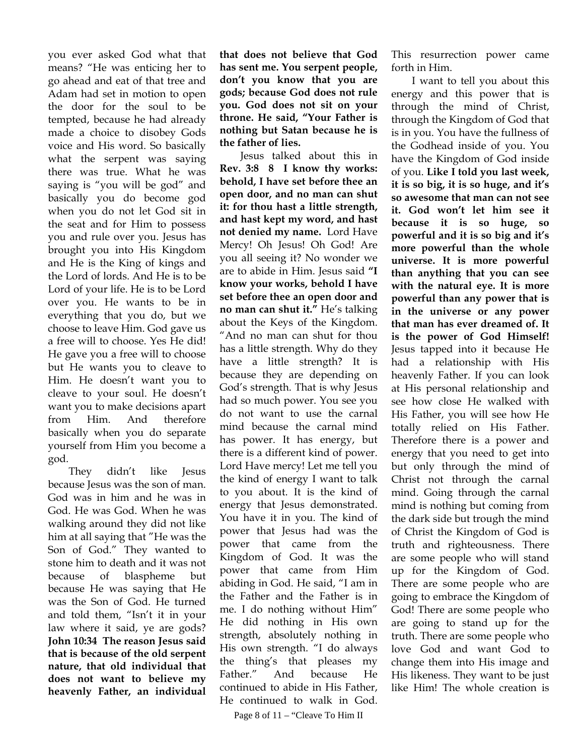you ever asked God what that means? "He was enticing her to go ahead and eat of that tree and Adam had set in motion to open the door for the soul to be tempted, because he had already made a choice to disobey Gods voice and His word. So basically what the serpent was saying there was true. What he was saying is "you will be god" and basically you do become god when you do not let God sit in the seat and for Him to possess you and rule over you. Jesus has brought you into His Kingdom and He is the King of kings and the Lord of lords. And He is to be Lord of your life. He is to be Lord over you. He wants to be in everything that you do, but we choose to leave Him. God gave us a free will to choose. Yes He did! He gave you a free will to choose but He wants you to cleave to Him. He doesn't want you to cleave to your soul. He doesn't want you to make decisions apart from Him. And therefore basically when you do separate yourself from Him you become a god.

They didn't like Jesus because Jesus was the son of man. God was in him and he was in God. He was God. When he was walking around they did not like him at all saying that "He was the Son of God." They wanted to stone him to death and it was not because of blaspheme but because He was saying that He was the Son of God. He turned and told them, "Isn't it in your law where it said, ye are gods? **John 10:34 The reason Jesus said that is because of the old serpent nature, that old individual that does not want to believe my heavenly Father, an individual** **that does not believe that God has sent me. You serpent people, don't you know that you are gods; because God does not rule you. God does not sit on your throne. He said, "Your Father is nothing but Satan because he is the father of lies.** 

Jesus talked about this in **Rev. 3:8 8 I know thy works: behold, I have set before thee an open door, and no man can shut it: for thou hast a little strength, and hast kept my word, and hast not denied my name.** Lord Have Mercy! Oh Jesus! Oh God! Are you all seeing it? No wonder we are to abide in Him. Jesus said **"I know your works, behold I have set before thee an open door and no man can shut it."** He's talking about the Keys of the Kingdom. "And no man can shut for thou has a little strength. Why do they have a little strength? It is because they are depending on God's strength. That is why Jesus had so much power. You see you do not want to use the carnal mind because the carnal mind has power. It has energy, but there is a different kind of power. Lord Have mercy! Let me tell you the kind of energy I want to talk to you about. It is the kind of energy that Jesus demonstrated. You have it in you. The kind of power that Jesus had was the power that came from the Kingdom of God. It was the power that came from Him abiding in God. He said, "I am in the Father and the Father is in me. I do nothing without Him" He did nothing in His own strength, absolutely nothing in His own strength. "I do always the thing's that pleases my Father." And because He continued to abide in His Father, He continued to walk in God.

Page 8 of 11 – "Cleave To Him II

This resurrection power came forth in Him.

I want to tell you about this energy and this power that is through the mind of Christ, through the Kingdom of God that is in you. You have the fullness of the Godhead inside of you. You have the Kingdom of God inside of you. **Like I told you last week, it is so big, it is so huge, and it's so awesome that man can not see it. God won't let him see it because it is so huge, so powerful and it is so big and it's more powerful than the whole universe. It is more powerful than anything that you can see with the natural eye. It is more powerful than any power that is in the universe or any power that man has ever dreamed of. It is the power of God Himself!** Jesus tapped into it because He had a relationship with His heavenly Father. If you can look at His personal relationship and see how close He walked with His Father, you will see how He totally relied on His Father. Therefore there is a power and energy that you need to get into but only through the mind of Christ not through the carnal mind. Going through the carnal mind is nothing but coming from the dark side but trough the mind of Christ the Kingdom of God is truth and righteousness. There are some people who will stand up for the Kingdom of God. There are some people who are going to embrace the Kingdom of God! There are some people who are going to stand up for the truth. There are some people who love God and want God to change them into His image and His likeness. They want to be just like Him! The whole creation is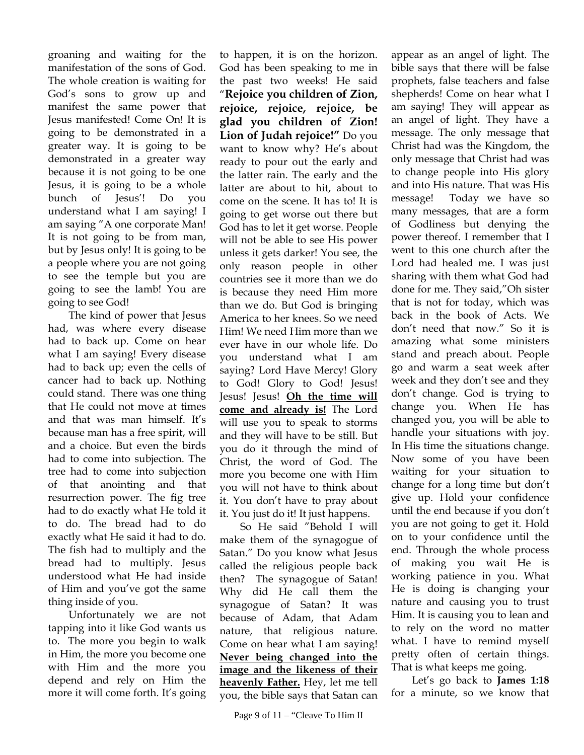groaning and waiting for the manifestation of the sons of God. The whole creation is waiting for God's sons to grow up and manifest the same power that Jesus manifested! Come On! It is going to be demonstrated in a greater way. It is going to be demonstrated in a greater way because it is not going to be one Jesus, it is going to be a whole bunch of Jesus'! Do you understand what I am saying! I am saying "A one corporate Man! It is not going to be from man, but by Jesus only! It is going to be a people where you are not going to see the temple but you are going to see the lamb! You are going to see God!

The kind of power that Jesus had, was where every disease had to back up. Come on hear what I am saying! Every disease had to back up; even the cells of cancer had to back up. Nothing could stand. There was one thing that He could not move at times and that was man himself. It's because man has a free spirit, will and a choice. But even the birds had to come into subjection. The tree had to come into subjection of that anointing and that resurrection power. The fig tree had to do exactly what He told it to do. The bread had to do exactly what He said it had to do. The fish had to multiply and the bread had to multiply. Jesus understood what He had inside of Him and you've got the same thing inside of you.

Unfortunately we are not tapping into it like God wants us to. The more you begin to walk in Him, the more you become one with Him and the more you depend and rely on Him the more it will come forth. It's going

to happen, it is on the horizon. God has been speaking to me in the past two weeks! He said "**Rejoice you children of Zion, rejoice, rejoice, rejoice, be glad you children of Zion! Lion of Judah rejoice!"** Do you want to know why? He's about ready to pour out the early and the latter rain. The early and the latter are about to hit, about to come on the scene. It has to! It is going to get worse out there but God has to let it get worse. People will not be able to see His power unless it gets darker! You see, the only reason people in other countries see it more than we do is because they need Him more than we do. But God is bringing America to her knees. So we need Him! We need Him more than we ever have in our whole life. Do you understand what I am saying? Lord Have Mercy! Glory to God! Glory to God! Jesus! Jesus! Jesus! **Oh the time will come and already is!** The Lord will use you to speak to storms and they will have to be still. But you do it through the mind of Christ, the word of God. The more you become one with Him you will not have to think about it. You don't have to pray about it. You just do it! It just happens.

So He said "Behold I will make them of the synagogue of Satan." Do you know what Jesus called the religious people back then? The synagogue of Satan! Why did He call them the synagogue of Satan? It was because of Adam, that Adam nature, that religious nature. Come on hear what I am saying! **Never being changed into the image and the likeness of their heavenly Father.** Hey, let me tell you, the bible says that Satan can

appear as an angel of light. The bible says that there will be false prophets, false teachers and false shepherds! Come on hear what I am saying! They will appear as an angel of light. They have a message. The only message that Christ had was the Kingdom, the only message that Christ had was to change people into His glory and into His nature. That was His message! Today we have so many messages, that are a form of Godliness but denying the power thereof. I remember that I went to this one church after the Lord had healed me. I was just sharing with them what God had done for me. They said,"Oh sister that is not for today, which was back in the book of Acts. We don't need that now." So it is amazing what some ministers stand and preach about. People go and warm a seat week after week and they don't see and they don't change. God is trying to change you. When He has changed you, you will be able to handle your situations with joy. In His time the situations change. Now some of you have been waiting for your situation to change for a long time but don't give up. Hold your confidence until the end because if you don't you are not going to get it. Hold on to your confidence until the end. Through the whole process of making you wait He is working patience in you. What He is doing is changing your nature and causing you to trust Him. It is causing you to lean and to rely on the word no matter what. I have to remind myself pretty often of certain things. That is what keeps me going.

Let's go back to **James 1:18** for a minute, so we know that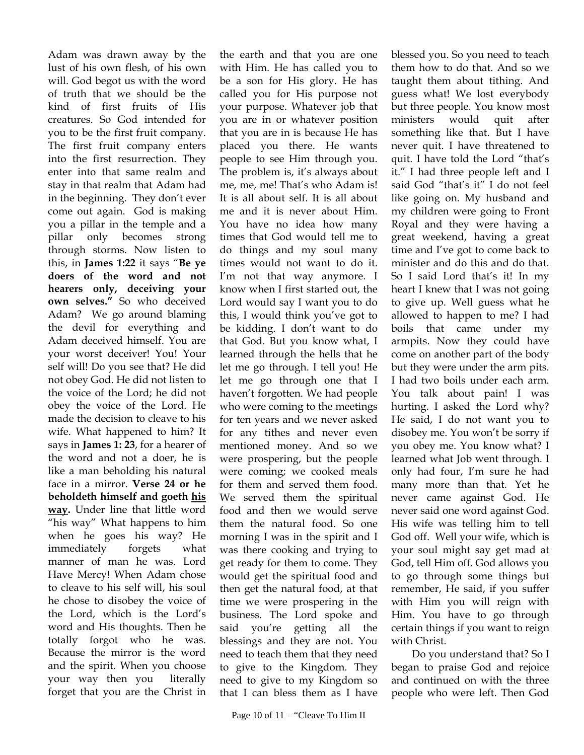Adam was drawn away by the lust of his own flesh, of his own will. God begot us with the word of truth that we should be the kind of first fruits of His creatures. So God intended for you to be the first fruit company. The first fruit company enters into the first resurrection. They enter into that same realm and stay in that realm that Adam had in the beginning. They don't ever come out again. God is making you a pillar in the temple and a pillar only becomes strong through storms. Now listen to this, in **James 1:22** it says "**Be ye doers of the word and not hearers only, deceiving your own selves."** So who deceived Adam? We go around blaming the devil for everything and Adam deceived himself. You are your worst deceiver! You! Your self will! Do you see that? He did not obey God. He did not listen to the voice of the Lord; he did not obey the voice of the Lord. He made the decision to cleave to his wife. What happened to him? It says in **James 1: 23**, for a hearer of the word and not a doer, he is like a man beholding his natural face in a mirror. **Verse 24 or he beholdeth himself and goeth his way.** Under line that little word "his way" What happens to him when he goes his way? He immediately forgets what manner of man he was. Lord Have Mercy! When Adam chose to cleave to his self will, his soul he chose to disobey the voice of the Lord, which is the Lord's word and His thoughts. Then he totally forgot who he was. Because the mirror is the word and the spirit. When you choose your way then you literally forget that you are the Christ in

the earth and that you are one with Him. He has called you to be a son for His glory. He has called you for His purpose not your purpose. Whatever job that you are in or whatever position that you are in is because He has placed you there. He wants people to see Him through you. The problem is, it's always about me, me, me! That's who Adam is! It is all about self. It is all about me and it is never about Him. You have no idea how many times that God would tell me to do things and my soul many times would not want to do it. I'm not that way anymore. I know when I first started out, the Lord would say I want you to do this, I would think you've got to be kidding. I don't want to do that God. But you know what, I learned through the hells that he let me go through. I tell you! He let me go through one that I haven't forgotten. We had people who were coming to the meetings for ten years and we never asked for any tithes and never even mentioned money. And so we were prospering, but the people were coming; we cooked meals for them and served them food. We served them the spiritual food and then we would serve them the natural food. So one morning I was in the spirit and I was there cooking and trying to get ready for them to come. They would get the spiritual food and then get the natural food, at that time we were prospering in the business. The Lord spoke and said you're getting all the blessings and they are not. You need to teach them that they need to give to the Kingdom. They need to give to my Kingdom so that I can bless them as I have

blessed you. So you need to teach them how to do that. And so we taught them about tithing. And guess what! We lost everybody but three people. You know most ministers would quit after something like that. But I have never quit. I have threatened to quit. I have told the Lord "that's it." I had three people left and I said God "that's it" I do not feel like going on. My husband and my children were going to Front Royal and they were having a great weekend, having a great time and I've got to come back to minister and do this and do that. So I said Lord that's it! In my heart I knew that I was not going to give up. Well guess what he allowed to happen to me? I had boils that came under my armpits. Now they could have come on another part of the body but they were under the arm pits. I had two boils under each arm. You talk about pain! I was hurting. I asked the Lord why? He said, I do not want you to disobey me. You won't be sorry if you obey me. You know what? I learned what Job went through. I only had four, I'm sure he had many more than that. Yet he never came against God. He never said one word against God. His wife was telling him to tell God off. Well your wife, which is your soul might say get mad at God, tell Him off. God allows you to go through some things but remember, He said, if you suffer with Him you will reign with Him. You have to go through certain things if you want to reign with Christ.

Do you understand that? So I began to praise God and rejoice and continued on with the three people who were left. Then God